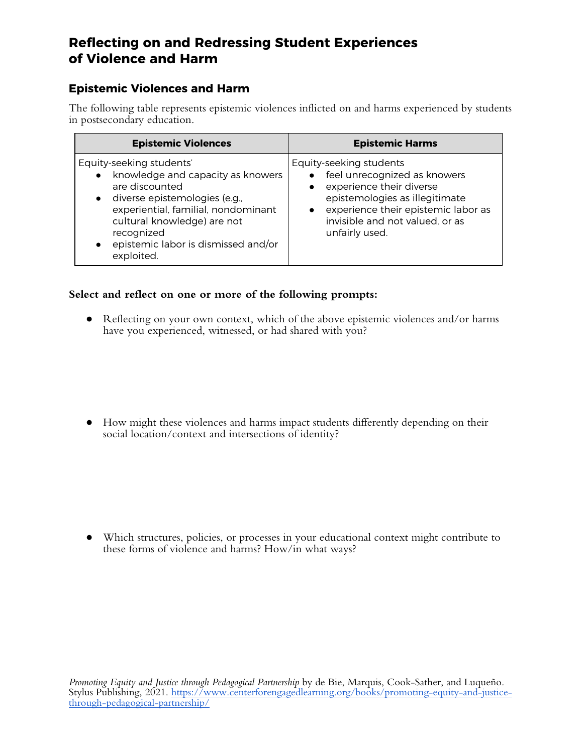### **Epistemic Violences and Harm**

The following table represents epistemic violences inflicted on and harms experienced by students in postsecondary education.

| <b>Epistemic Violences</b>                                                                                                                                                                                                                                                                       | <b>Epistemic Harms</b>                                                                                                                                                                                                                      |
|--------------------------------------------------------------------------------------------------------------------------------------------------------------------------------------------------------------------------------------------------------------------------------------------------|---------------------------------------------------------------------------------------------------------------------------------------------------------------------------------------------------------------------------------------------|
| Equity-seeking students'<br>knowledge and capacity as knowers<br>$\bullet$<br>are discounted<br>diverse epistemologies (e.g.,<br>$\bullet$<br>experiential, familial, nondominant<br>cultural knowledge) are not<br>recognized<br>epistemic labor is dismissed and/or<br>$\bullet$<br>exploited. | Equity-seeking students<br>feel unrecognized as knowers<br>$\bullet$<br>experience their diverse<br>epistemologies as illegitimate<br>experience their epistemic labor as<br>$\bullet$<br>invisible and not valued, or as<br>unfairly used. |

#### **Select and reflect on one or more of the following prompts:**

● Reflecting on your own context, which of the above epistemic violences and/or harms have you experienced, witnessed, or had shared with you?

● How might these violences and harms impact students differently depending on their social location/context and intersections of identity?

● Which structures, policies, or processes in your educational context might contribute to these forms of violence and harms? How/in what ways?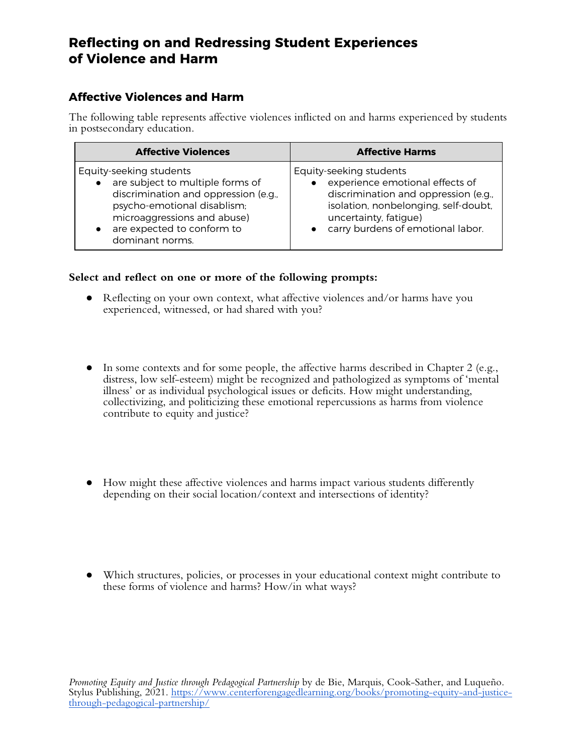### **Affective Violences and Harm**

The following table represents affective violences inflicted on and harms experienced by students in postsecondary education.

| <b>Affective Violences</b>           | <b>Affective Harms</b>               |
|--------------------------------------|--------------------------------------|
| Equity-seeking students              | Equity-seeking students              |
| are subject to multiple forms of     | experience emotional effects of      |
| discrimination and oppression (e.g., | discrimination and oppression (e.g., |
| psycho-emotional disablism;          | isolation, nonbelonging, self-doubt, |
| microaggressions and abuse)          | uncertainty, fatigue)                |
| are expected to conform to           | carry burdens of emotional labor.    |
| dominant norms.                      | $\bullet$                            |

#### **Select and reflect on one or more of the following prompts:**

- Reflecting on your own context, what affective violences and/or harms have you experienced, witnessed, or had shared with you?
- $\bullet$  In some contexts and for some people, the affective harms described in Chapter 2 (e.g., distress, low self-esteem) might be recognized and pathologized as symptoms of 'mental illness' or as individual psychological issues or deficits. How might understanding, collectivizing, and politicizing these emotional repercussions as harms from violence contribute to equity and justice?
- How might these affective violences and harms impact various students differently depending on their social location/context and intersections of identity?
- Which structures, policies, or processes in your educational context might contribute to these forms of violence and harms? How/in what ways?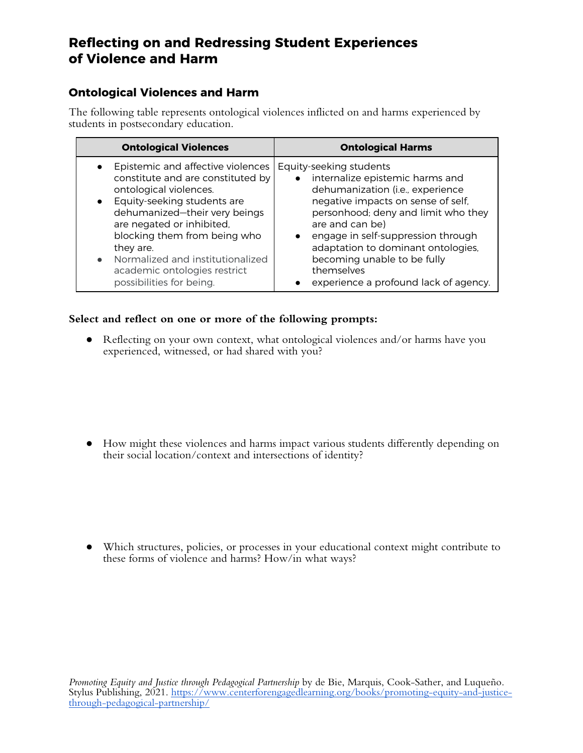### **Ontological Violences and Harm**

The following table represents ontological violences inflicted on and harms experienced by students in postsecondary education.

| <b>Ontological Violences</b>                                                                                                                                                                                                                                                                                                                                | <b>Ontological Harms</b>                                                                                                                                                                                                                                                                                                                                                                                |
|-------------------------------------------------------------------------------------------------------------------------------------------------------------------------------------------------------------------------------------------------------------------------------------------------------------------------------------------------------------|---------------------------------------------------------------------------------------------------------------------------------------------------------------------------------------------------------------------------------------------------------------------------------------------------------------------------------------------------------------------------------------------------------|
| • Epistemic and affective violences<br>constitute and are constituted by<br>ontological violences.<br>• Equity-seeking students are<br>dehumanized-their very beings<br>are negated or inhibited,<br>blocking them from being who<br>they are.<br>Normalized and institutionalized<br>$\bullet$<br>academic ontologies restrict<br>possibilities for being. | Equity-seeking students<br>internalize epistemic harms and<br>$\bullet$<br>dehumanization (i.e., experience<br>negative impacts on sense of self,<br>personhood; deny and limit who they<br>are and can be)<br>engage in self-suppression through<br>$\bullet$<br>adaptation to dominant ontologies,<br>becoming unable to be fully<br>themselves<br>experience a profound lack of agency.<br>$\bullet$ |

#### **Select and reflect on one or more of the following prompts:**

● Reflecting on your own context, what ontological violences and/or harms have you experienced, witnessed, or had shared with you?

● How might these violences and harms impact various students differently depending on their social location/context and intersections of identity?

● Which structures, policies, or processes in your educational context might contribute to these forms of violence and harms? How/in what ways?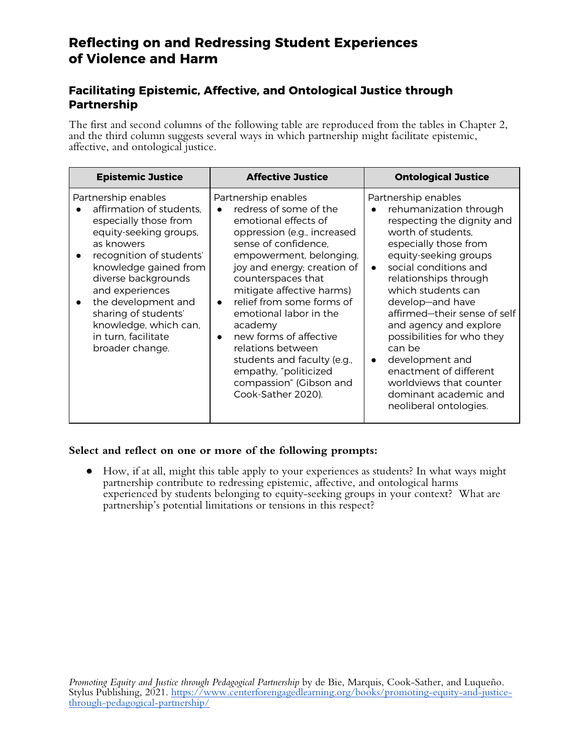### **Facilitating Epistemic, Affective, and Ontological Justice through Partnership**

The first and second columns of the following table are reproduced from the tables in Chapter 2, and the third column suggests several ways in which partnership might facilitate epistemic, affective, and ontological justice.

| <b>Epistemic Justice</b>                                                                                                                                                                                                                                                                                                          | <b>Affective Justice</b>                                                                                                                                                                                                                                                                                                                                                                                                                                                         | <b>Ontological Justice</b>                                                                                                                                                                                                                                                                                                                                                                                                                                                                                          |
|-----------------------------------------------------------------------------------------------------------------------------------------------------------------------------------------------------------------------------------------------------------------------------------------------------------------------------------|----------------------------------------------------------------------------------------------------------------------------------------------------------------------------------------------------------------------------------------------------------------------------------------------------------------------------------------------------------------------------------------------------------------------------------------------------------------------------------|---------------------------------------------------------------------------------------------------------------------------------------------------------------------------------------------------------------------------------------------------------------------------------------------------------------------------------------------------------------------------------------------------------------------------------------------------------------------------------------------------------------------|
| Partnership enables<br>affirmation of students.<br>especially those from<br>equity-seeking groups,<br>as knowers<br>recognition of students'<br>knowledge gained from<br>diverse backgrounds<br>and experiences<br>the development and<br>sharing of students'<br>knowledge, which can,<br>in turn, facilitate<br>broader change. | Partnership enables<br>redress of some of the<br>emotional effects of<br>oppression (e.g., increased<br>sense of confidence.<br>empowerment, belonging,<br>joy and energy; creation of<br>counterspaces that<br>mitigate affective harms)<br>relief from some forms of<br>emotional labor in the<br>academy<br>new forms of affective<br>$\bullet$<br>relations between<br>students and faculty (e.g.,<br>empathy, "politicized<br>compassion" (Gibson and<br>Cook-Sather 2020). | Partnership enables<br>rehumanization through<br>$\bullet$<br>respecting the dignity and<br>worth of students.<br>especially those from<br>equity-seeking groups<br>social conditions and<br>$\bullet$<br>relationships through<br>which students can<br>develop-and have<br>affirmed-their sense of self<br>and agency and explore<br>possibilities for who they<br>can be<br>development and<br>$\bullet$<br>enactment of different<br>worldviews that counter<br>dominant academic and<br>neoliberal ontologies. |

#### **Select and reflect on one or more of the following prompts:**

● How, if at all, might this table apply to your experiences as students? In what ways might partnership contribute to redressing epistemic, affective, and ontological harms experienced by students belonging to equity-seeking groups in your context? What are partnership's potential limitations or tensions in this respect?